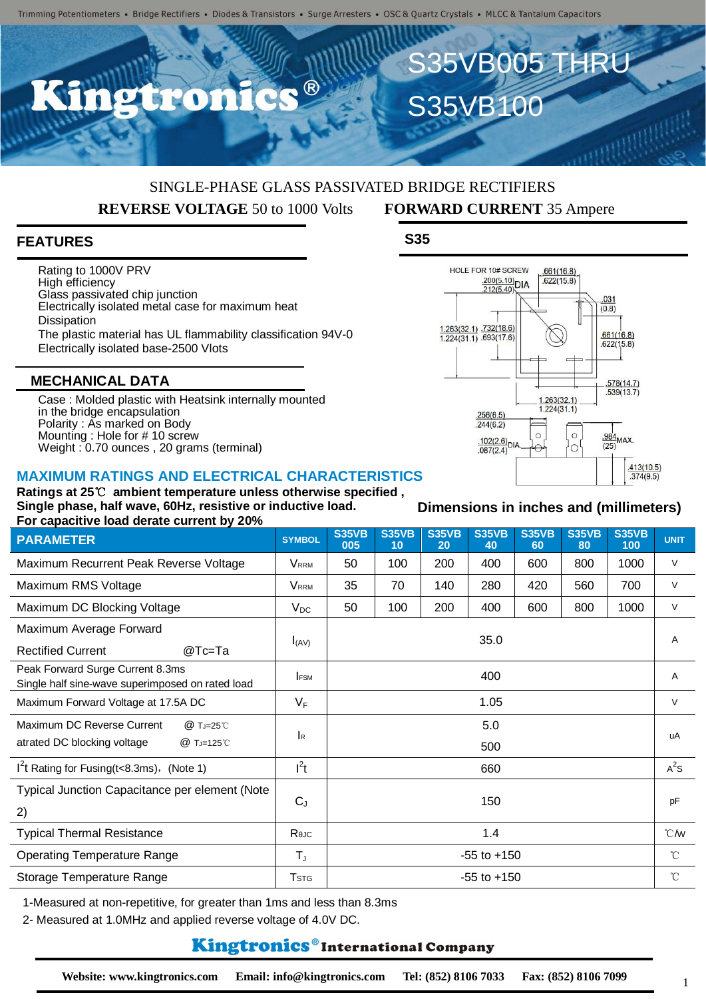## SINGLE-PHASE GLASS PASSIVATED BRIDGE RECTIFIERS  **REVERSE VOLTAGE** 50 to 1000 Volts **FORWARD CURRENT** 35 Ampere

### **FEATURES**

Rating to 1000V PRV High efficiency Glass passivated chip junction Electrically isolated metal case for maximum heat **Dissipation** The plastic material has UL flammability classification 94V-0 Electrically isolated base-2500 Vlots

#### **MECHANICAL DATA**

Case : Molded plastic with Heatsink internally mounted in the bridge encapsulation Polarity : As marked on Body Mounting : Hole for # 10 screw Weight : 0.70 ounces , 20 grams (terminal)

#### **MAXIMUM RATINGS AND ELECTRICAL CHARACTERISTICS**

**Ratings at 25**℃ **ambient temperature unless otherwise specified , Single phase, half wave, 60Hz, resistive or inductive load. For capacitive load derate current by 20%**

| <b>PARAMETER</b>                                                                     | <b>SYMBOL</b>           | <b>S35VB</b><br>005 | <b>S35VB</b><br>10 | <b>S35VB</b><br>20 | <b>S35VB</b><br>40 | <b>S35VB</b><br>60 | <b>S35VB</b><br>80 | <b>S35VB</b><br>100 | <b>UNIT</b>      |
|--------------------------------------------------------------------------------------|-------------------------|---------------------|--------------------|--------------------|--------------------|--------------------|--------------------|---------------------|------------------|
| Maximum Recurrent Peak Reverse Voltage                                               | <b>VRRM</b>             | 50                  | 100                | 200                | 400                | 600                | 800                | 1000                | $\vee$           |
| Maximum RMS Voltage                                                                  | <b>VRRM</b>             | 35                  | 70                 | 140                | 280                | 420                | 560                | 700                 | $\vee$           |
| Maximum DC Blocking Voltage                                                          | $V_{DC}$                | 50                  | 100                | 200                | 400                | 600                | 800                | 1000                | $\vee$           |
| Maximum Average Forward<br><b>Rectified Current</b><br>@Tc=Ta                        | $I_{(AV)}$              | 35.0                |                    |                    |                    |                    |                    |                     | A                |
| Peak Forward Surge Current 8.3ms<br>Single half sine-wave superimposed on rated load | <b>IFSM</b>             | 400                 |                    |                    |                    |                    |                    |                     | A                |
| Maximum Forward Voltage at 17.5A DC                                                  | $V_F$                   | 1.05                |                    |                    |                    |                    |                    |                     | $\vee$           |
| Maximum DC Reverse Current<br>@ TJ=25°C<br>atrated DC blocking voltage<br>@ TJ=125℃  | <b>I</b> R              |                     | 5.0<br>500         |                    |                    |                    |                    |                     | uA               |
| $1^2$ t Rating for Fusing(t<8.3ms), (Note 1)                                         | $l^2t$                  | 660                 |                    |                    |                    |                    |                    |                     | $A^2S$           |
| Typical Junction Capacitance per element (Note<br>2)                                 | $C_{J}$                 | 150                 |                    |                    |                    |                    |                    |                     | pF               |
| <b>Typical Thermal Resistance</b>                                                    | Reuc                    | 1.4                 |                    |                    |                    |                    |                    |                     | $\mathcal{C}$ /W |
| <b>Operating Temperature Range</b>                                                   | $T_{J}$                 | $-55$ to $+150$     |                    |                    |                    |                    |                    |                     | $^{\circ}C$      |
| Storage Temperature Range                                                            | <b>T</b> <sub>STG</sub> | $-55$ to $+150$     |                    |                    |                    |                    |                    |                     | $^{\circ}$ C     |

1-Measured at non-repetitive, for greater than 1ms and less than 8.3ms

2- Measured at 1.0MHz and applied reverse voltage of 4.0V DC.

#### **Kingtronics**®International Company



S35VB005 THRU

S35VB100

#### **Dimensions in inches and (millimeters)**

1

**S35**